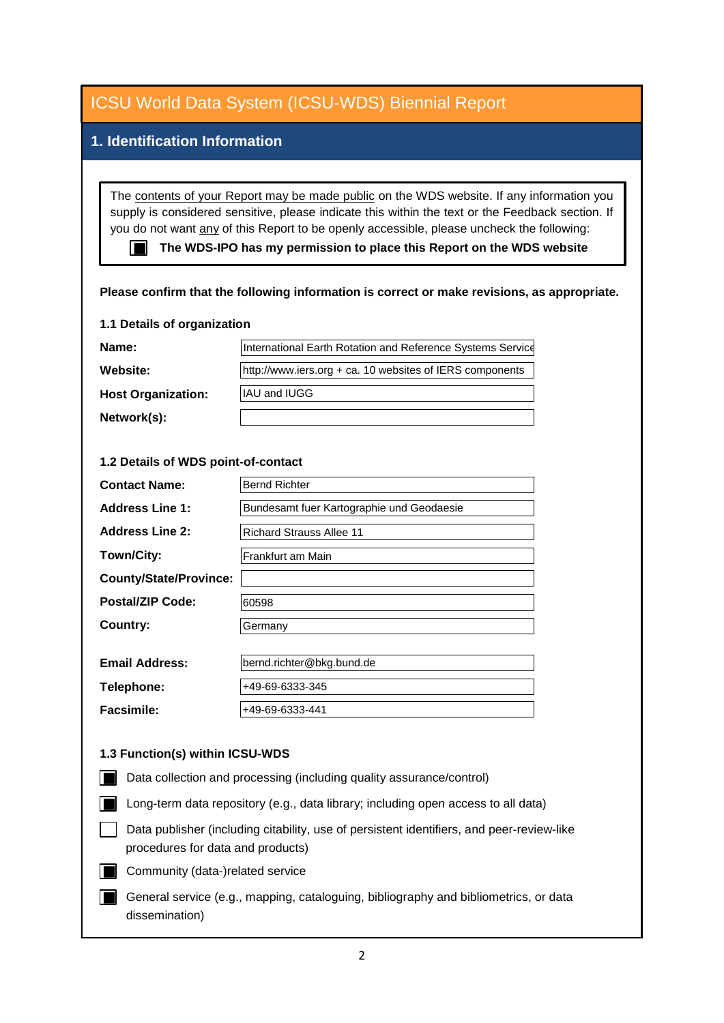| <b>ICSU World Data System (ICSU-WDS) Biennial Report</b>                                                                                                                                                                                                                                                                                                                                                                                                                     |                                                            |
|------------------------------------------------------------------------------------------------------------------------------------------------------------------------------------------------------------------------------------------------------------------------------------------------------------------------------------------------------------------------------------------------------------------------------------------------------------------------------|------------------------------------------------------------|
| 1. Identification Information                                                                                                                                                                                                                                                                                                                                                                                                                                                |                                                            |
|                                                                                                                                                                                                                                                                                                                                                                                                                                                                              |                                                            |
| The contents of your Report may be made public on the WDS website. If any information you<br>supply is considered sensitive, please indicate this within the text or the Feedback section. If<br>you do not want any of this Report to be openly accessible, please uncheck the following:<br>The WDS-IPO has my permission to place this Report on the WDS website<br>11 H I<br>Please confirm that the following information is correct or make revisions, as appropriate. |                                                            |
| 1.1 Details of organization                                                                                                                                                                                                                                                                                                                                                                                                                                                  |                                                            |
| Name:                                                                                                                                                                                                                                                                                                                                                                                                                                                                        | International Earth Rotation and Reference Systems Service |
| Website:                                                                                                                                                                                                                                                                                                                                                                                                                                                                     | http://www.iers.org + ca. 10 websites of IERS components   |
| <b>Host Organization:</b>                                                                                                                                                                                                                                                                                                                                                                                                                                                    | IAU and IUGG                                               |
| Network(s):                                                                                                                                                                                                                                                                                                                                                                                                                                                                  |                                                            |
|                                                                                                                                                                                                                                                                                                                                                                                                                                                                              |                                                            |
| 1.2 Details of WDS point-of-contact                                                                                                                                                                                                                                                                                                                                                                                                                                          |                                                            |
| <b>Contact Name:</b>                                                                                                                                                                                                                                                                                                                                                                                                                                                         | <b>Bernd Richter</b>                                       |
| <b>Address Line 1:</b>                                                                                                                                                                                                                                                                                                                                                                                                                                                       | Bundesamt fuer Kartographie und Geodaesie                  |
| <b>Address Line 2:</b>                                                                                                                                                                                                                                                                                                                                                                                                                                                       | <b>Richard Strauss Allee 11</b>                            |
| Town/City:                                                                                                                                                                                                                                                                                                                                                                                                                                                                   | Frankfurt am Main                                          |
| <b>County/State/Province:</b>                                                                                                                                                                                                                                                                                                                                                                                                                                                |                                                            |
| <b>Postal/ZIP Code:</b>                                                                                                                                                                                                                                                                                                                                                                                                                                                      | 60598                                                      |
| <b>Country:</b>                                                                                                                                                                                                                                                                                                                                                                                                                                                              | Germany                                                    |
|                                                                                                                                                                                                                                                                                                                                                                                                                                                                              |                                                            |
| <b>Email Address:</b>                                                                                                                                                                                                                                                                                                                                                                                                                                                        | bernd.richter@bkg.bund.de                                  |
| Telephone:                                                                                                                                                                                                                                                                                                                                                                                                                                                                   | +49-69-6333-345                                            |
| <b>Facsimile:</b>                                                                                                                                                                                                                                                                                                                                                                                                                                                            | +49-69-6333-441                                            |
|                                                                                                                                                                                                                                                                                                                                                                                                                                                                              |                                                            |
| 1.3 Function(s) within ICSU-WDS                                                                                                                                                                                                                                                                                                                                                                                                                                              |                                                            |
| Data collection and processing (including quality assurance/control)                                                                                                                                                                                                                                                                                                                                                                                                         |                                                            |
| Long-term data repository (e.g., data library; including open access to all data)                                                                                                                                                                                                                                                                                                                                                                                            |                                                            |
| Data publisher (including citability, use of persistent identifiers, and peer-review-like<br>procedures for data and products)                                                                                                                                                                                                                                                                                                                                               |                                                            |
| Community (data-)related service                                                                                                                                                                                                                                                                                                                                                                                                                                             |                                                            |
| General service (e.g., mapping, cataloguing, bibliography and bibliometrics, or data<br>dissemination)                                                                                                                                                                                                                                                                                                                                                                       |                                                            |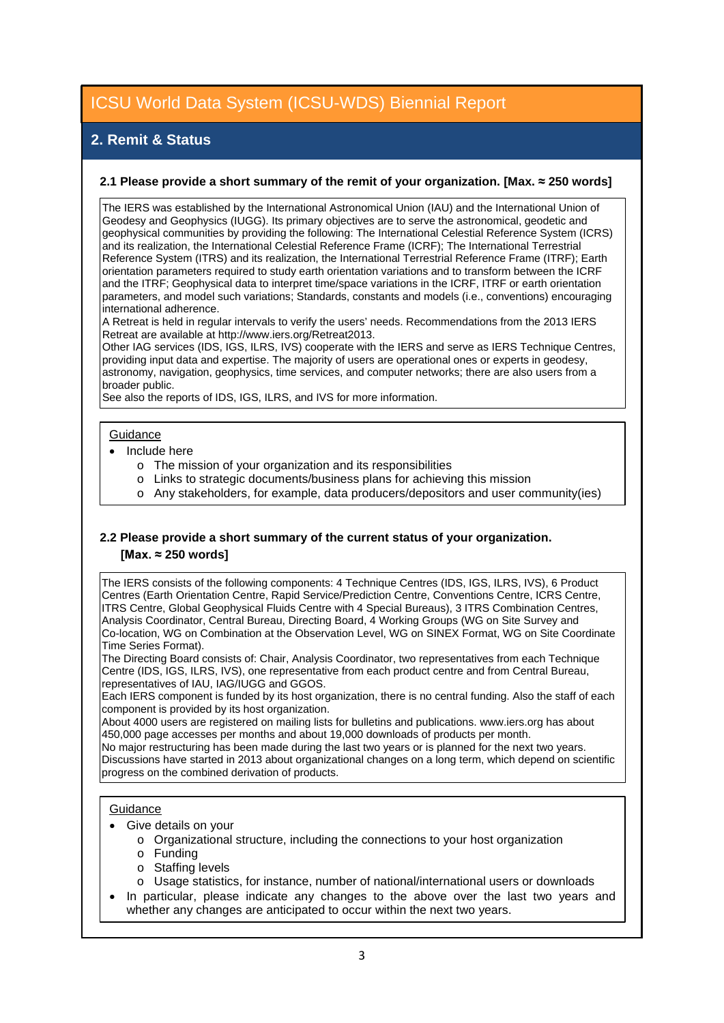# **2. Remit & Status**

#### **2.1 Please provide a short summary of the remit of your organization. [Max. ≈ 250 words]**

The IERS was established by the International Astronomical Union (IAU) and the International Union of Geodesy and Geophysics (IUGG). Its primary objectives are to serve the astronomical, geodetic and geophysical communities by providing the following: The International Celestial Reference System (ICRS) and its realization, the International Celestial Reference Frame (ICRF); The International Terrestrial Reference System (ITRS) and its realization, the International Terrestrial Reference Frame (ITRF); Earth orientation parameters required to study earth orientation variations and to transform between the ICRF and the ITRF; Geophysical data to interpret time/space variations in the ICRF, ITRF or earth orientation parameters, and model such variations; Standards, constants and models (i.e., conventions) encouraging international adherence.

A Retreat is held in regular intervals to verify the users' needs. Recommendations from the 2013 IERS Retreat are available at http://www.iers.org/Retreat2013.

Other IAG services (IDS, IGS, ILRS, IVS) cooperate with the IERS and serve as IERS Technique Centres, providing input data and expertise. The majority of users are operational ones or experts in geodesy, astronomy, navigation, geophysics, time services, and computer networks; there are also users from a broader public.

See also the reports of IDS, IGS, ILRS, and IVS for more information.

#### **Guidance**

- Include here
	- o The mission of your organization and its responsibilities
	- o Links to strategic documents/business plans for achieving this mission
	- o Any stakeholders, for example, data producers/depositors and user community(ies)

### **2.2 Please provide a short summary of the current status of your organization. [Max. ≈ 250 words]**

The IERS consists of the following components: 4 Technique Centres (IDS, IGS, ILRS, IVS), 6 Product Centres (Earth Orientation Centre, Rapid Service/Prediction Centre, Conventions Centre, ICRS Centre, ITRS Centre, Global Geophysical Fluids Centre with 4 Special Bureaus), 3 ITRS Combination Centres, Analysis Coordinator, Central Bureau, Directing Board, 4 Working Groups (WG on Site Survey and Co-location, WG on Combination at the Observation Level, WG on SINEX Format, WG on Site Coordinate Time Series Format).

The Directing Board consists of: Chair, Analysis Coordinator, two representatives from each Technique Centre (IDS, IGS, ILRS, IVS), one representative from each product centre and from Central Bureau, representatives of IAU, IAG/IUGG and GGOS.

Each IERS component is funded by its host organization, there is no central funding. Also the staff of each component is provided by its host organization.

About 4000 users are registered on mailing lists for bulletins and publications. www.iers.org has about 450,000 page accesses per months and about 19,000 downloads of products per month.

No major restructuring has been made during the last two years or is planned for the next two years. Discussions have started in 2013 about organizational changes on a long term, which depend on scientific progress on the combined derivation of products.

#### **Guidance**

- Give details on your
	- o Organizational structure, including the connections to your host organization
	- o Funding
	- o Staffing levels
	- o Usage statistics, for instance, number of national/international users or downloads
- In particular, please indicate any changes to the above over the last two years and whether any changes are anticipated to occur within the next two years.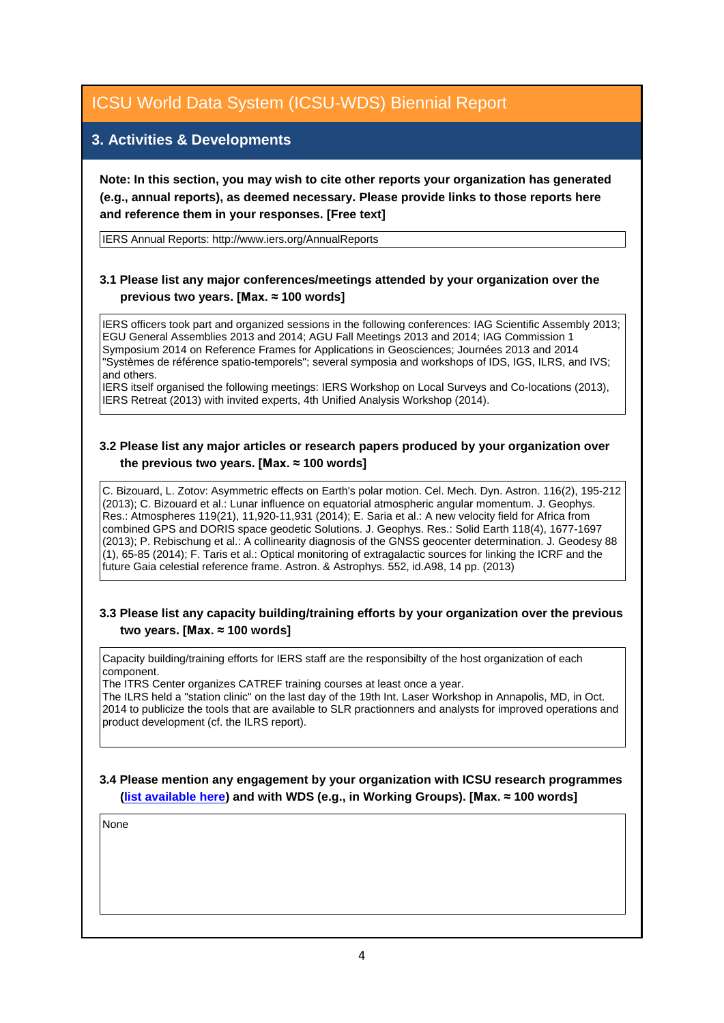## **3. Activities & Developments**

**Note: In this section, you may wish to cite other reports your organization has generated (e.g., annual reports), as deemed necessary. Please provide links to those reports here and reference them in your responses. [Free text]**

IERS Annual Reports: http://www.iers.org/AnnualReports

## **3.1 Please list any major conferences/meetings attended by your organization over the previous two years. [Max. ≈ 100 words]**

IERS officers took part and organized sessions in the following conferences: IAG Scientific Assembly 2013; EGU General Assemblies 2013 and 2014; AGU Fall Meetings 2013 and 2014; IAG Commission 1 Symposium 2014 on Reference Frames for Applications in Geosciences; Journées 2013 and 2014 "Systèmes de référence spatio-temporels"; several symposia and workshops of IDS, IGS, ILRS, and IVS; and others.

IERS itself organised the following meetings: IERS Workshop on Local Surveys and Co-locations (2013), IERS Retreat (2013) with invited experts, 4th Unified Analysis Workshop (2014).

### **3.2 Please list any major articles or research papers produced by your organization over the previous two years. [Max. ≈ 100 words]**

C. Bizouard, L. Zotov: Asymmetric effects on Earth's polar motion. Cel. Mech. Dyn. Astron. 116(2), 195-212 (2013); C. Bizouard et al.: Lunar influence on equatorial atmospheric angular momentum. J. Geophys. Res.: Atmospheres 119(21), 11,920-11,931 (2014); E. Saria et al.: A new velocity field for Africa from combined GPS and DORIS space geodetic Solutions. J. Geophys. Res.: Solid Earth 118(4), 1677-1697 (2013); P. Rebischung et al.: A collinearity diagnosis of the GNSS geocenter determination. J. Geodesy 88 (1), 65-85 (2014); F. Taris et al.: Optical monitoring of extragalactic sources for linking the ICRF and the future Gaia celestial reference frame. Astron. & Astrophys. 552, id.A98, 14 pp. (2013)

### **3.3 Please list any capacity building/training efforts by your organization over the previous two years. [Max. ≈ 100 words]**

Capacity building/training efforts for IERS staff are the responsibilty of the host organization of each component.

The ITRS Center organizes CATREF training courses at least once a year.

The ILRS held a "station clinic" on the last day of the 19th Int. Laser Workshop in Annapolis, MD, in Oct. 2014 to publicize the tools that are available to SLR practionners and analysts for improved operations and product development (cf. the ILRS report).

### **3.4 Please mention any engagement by your organization with ICSU research programmes [\(list available here\)](http://www.icsu.org/what-we-do/@@category_search?path=/icsu/what-we-do&Subject:list=International%20Research%20Collaboration) and with WDS (e.g., in Working Groups). [Max. ≈ 100 words]**

None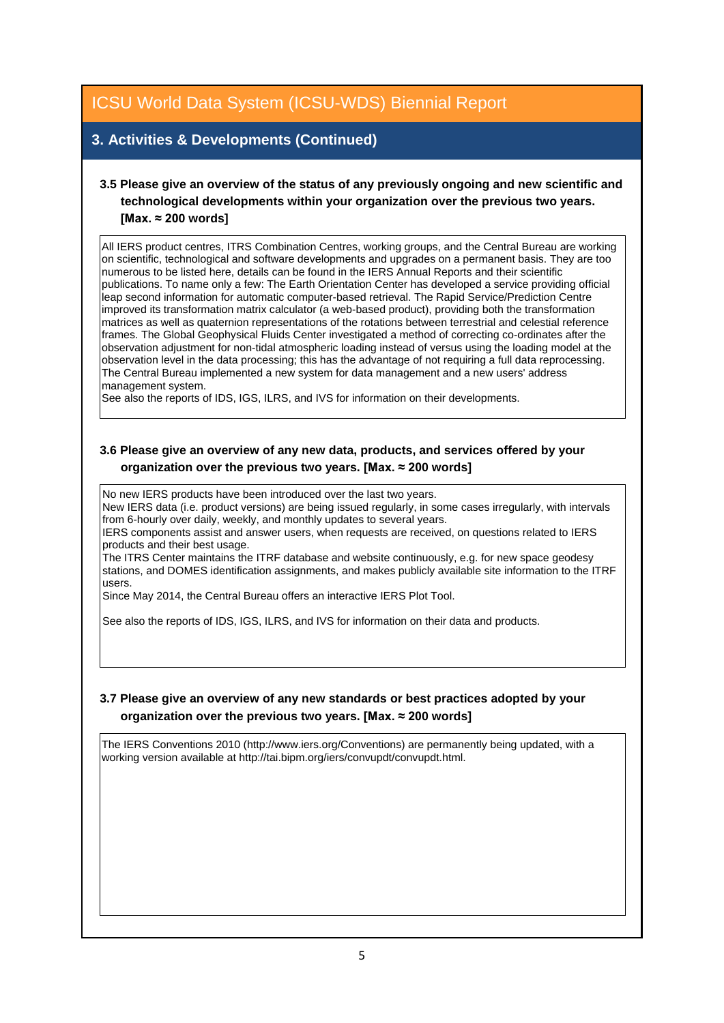# **3. Activities & Developments (Continued)**

## **3.5 Please give an overview of the status of any previously ongoing and new scientific and technological developments within your organization over the previous two years. [Max. ≈ 200 words]**

All IERS product centres, ITRS Combination Centres, working groups, and the Central Bureau are working on scientific, technological and software developments and upgrades on a permanent basis. They are too numerous to be listed here, details can be found in the IERS Annual Reports and their scientific publications. To name only a few: The Earth Orientation Center has developed a service providing official leap second information for automatic computer-based retrieval. The Rapid Service/Prediction Centre improved its transformation matrix calculator (a web-based product), providing both the transformation matrices as well as quaternion representations of the rotations between terrestrial and celestial reference frames. The Global Geophysical Fluids Center investigated a method of correcting co-ordinates after the observation adjustment for non-tidal atmospheric loading instead of versus using the loading model at the observation level in the data processing; this has the advantage of not requiring a full data reprocessing. The Central Bureau implemented a new system for data management and a new users' address management system.

See also the reports of IDS, IGS, ILRS, and IVS for information on their developments.

### **3.6 Please give an overview of any new data, products, and services offered by your organization over the previous two years. [Max. ≈ 200 words]**

No new IERS products have been introduced over the last two years.

New IERS data (i.e. product versions) are being issued regularly, in some cases irregularly, with intervals from 6-hourly over daily, weekly, and monthly updates to several years.

IERS components assist and answer users, when requests are received, on questions related to IERS products and their best usage.

The ITRS Center maintains the ITRF database and website continuously, e.g. for new space geodesy stations, and DOMES identification assignments, and makes publicly available site information to the ITRF users.

Since May 2014, the Central Bureau offers an interactive IERS Plot Tool.

See also the reports of IDS, IGS, ILRS, and IVS for information on their data and products.

### **3.7 Please give an overview of any new standards or best practices adopted by your organization over the previous two years. [Max. ≈ 200 words]**

The IERS Conventions 2010 (http://www.iers.org/Conventions) are permanently being updated, with a working version available at http://tai.bipm.org/iers/convupdt/convupdt.html.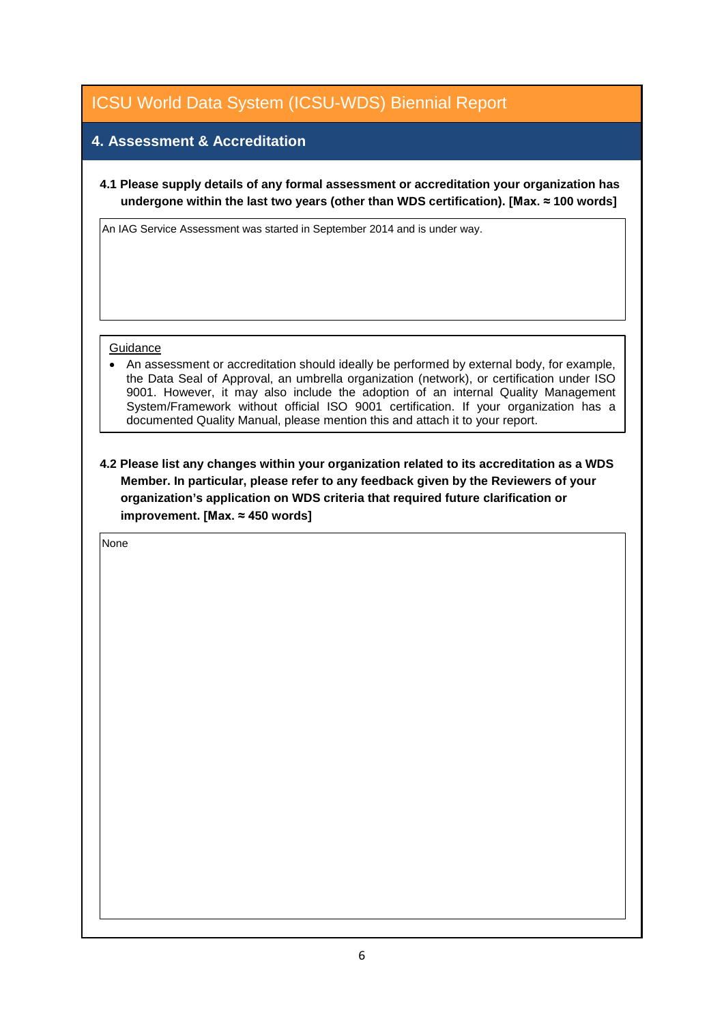## **4. Assessment & Accreditation**

**4.1 Please supply details of any formal assessment or accreditation your organization has undergone within the last two years (other than WDS certification). [Max. ≈ 100 words]**

An IAG Service Assessment was started in September 2014 and is under way.

#### **Guidance**

• An assessment or accreditation should ideally be performed by external body, for example, the Data Seal of Approval, an umbrella organization (network), or certification under ISO 9001. However, it may also include the adoption of an internal Quality Management System/Framework without official ISO 9001 certification. If your organization has a documented Quality Manual, please mention this and attach it to your report.

**4.2 Please list any changes within your organization related to its accreditation as a WDS Member. In particular, please refer to any feedback given by the Reviewers of your organization's application on WDS criteria that required future clarification or improvement. [Max. ≈ 450 words]**

None